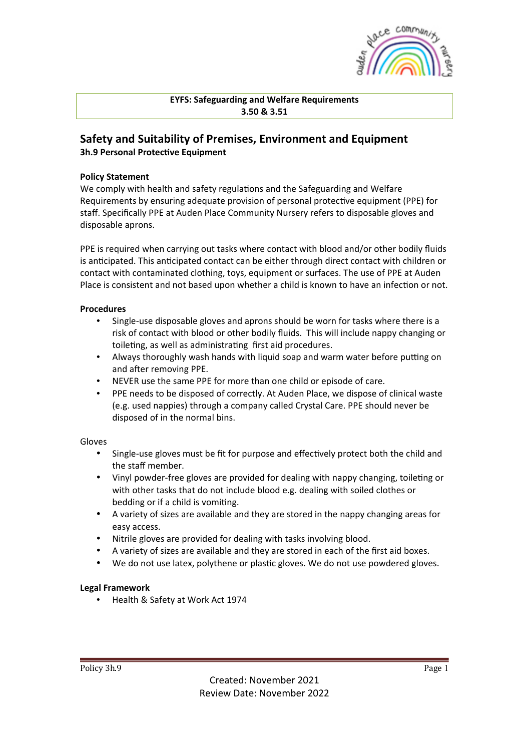

**EYFS: Safeguarding and Welfare Requirements 3.50 & 3.51**

# **Safety and Suitability of Premises, Environment and Equipment 3h.9 Personal Protective Equipment**

### **Policy Statement**

We comply with health and safety regulations and the Safeguarding and Welfare Requirements by ensuring adequate provision of personal protective equipment (PPE) for staff. Specifically PPE at Auden Place Community Nursery refers to disposable gloves and disposable aprons.

PPE is required when carrying out tasks where contact with blood and/or other bodily fluids is anticipated. This anticipated contact can be either through direct contact with children or contact with contaminated clothing, toys, equipment or surfaces. The use of PPE at Auden Place is consistent and not based upon whether a child is known to have an infection or not.

#### **Procedures**

- Single-use disposable gloves and aprons should be worn for tasks where there is a risk of contact with blood or other bodily fluids. This will include nappy changing or toileting, as well as administrating first aid procedures.
- Always thoroughly wash hands with liquid soap and warm water before putting on and after removing PPE.
- NEVER use the same PPE for more than one child or episode of care.
- PPE needs to be disposed of correctly. At Auden Place, we dispose of clinical waste (e.g. used nappies) through a company called Crystal Care. PPE should never be disposed of in the normal bins.

#### Gloves

- Single-use gloves must be fit for purpose and effectively protect both the child and the staff member.
- Vinyl powder-free gloves are provided for dealing with nappy changing, toileting or with other tasks that do not include blood e.g. dealing with soiled clothes or bedding or if a child is vomiting.
- A variety of sizes are available and they are stored in the nappy changing areas for easy access.
- Nitrile gloves are provided for dealing with tasks involving blood.
- A variety of sizes are available and they are stored in each of the first aid boxes.
- We do not use latex, polythene or plastic gloves. We do not use powdered gloves.

## **Legal Framework**

Health & Safety at Work Act 1974